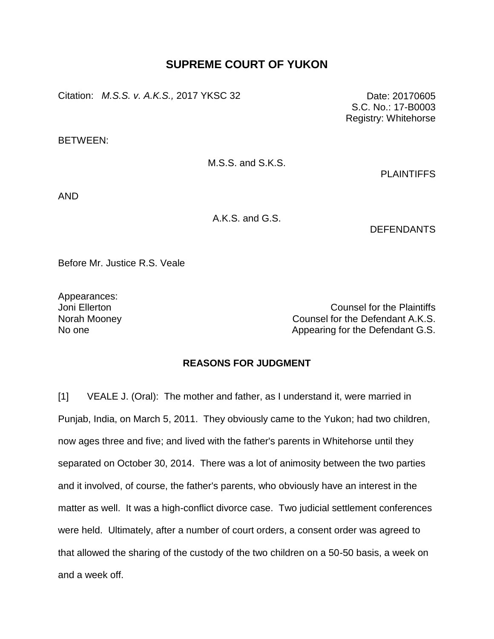## **SUPREME COURT OF YUKON**

Citation: *M.S.S. v. A.K.S.,* 2017 YKSC 32 Date: 20170605

BETWEEN:

M.S.S. and S.K.S.

**PLAINTIFFS** 

S.C. No.: 17-B0003 Registry: Whitehorse

AND

A.K.S. and G.S.

**DEFENDANTS** 

Before Mr. Justice R.S. Veale

Appearances:

Joni Ellerton Counsel for the Plaintiffs Norah Mooney Counsel for the Defendant A.K.S. No one and Appearing for the Defendant G.S.

## **REASONS FOR JUDGMENT**

[1] VEALE J. (Oral): The mother and father, as I understand it, were married in Punjab, India, on March 5, 2011. They obviously came to the Yukon; had two children, now ages three and five; and lived with the father's parents in Whitehorse until they separated on October 30, 2014. There was a lot of animosity between the two parties and it involved, of course, the father's parents, who obviously have an interest in the matter as well. It was a high-conflict divorce case. Two judicial settlement conferences were held. Ultimately, after a number of court orders, a consent order was agreed to that allowed the sharing of the custody of the two children on a 50-50 basis, a week on and a week off.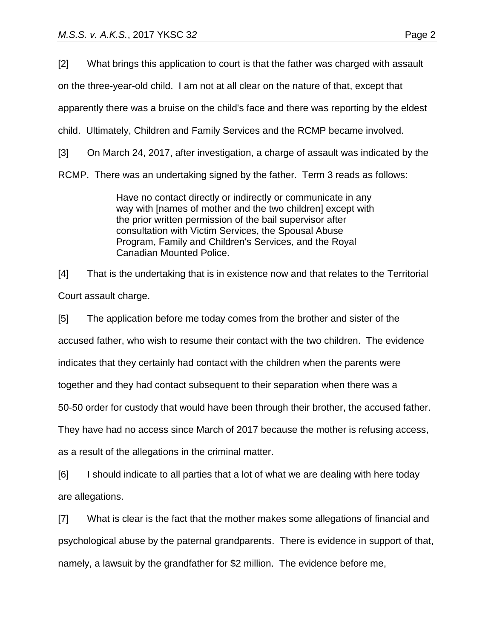[2] What brings this application to court is that the father was charged with assault

on the three-year-old child. I am not at all clear on the nature of that, except that

apparently there was a bruise on the child's face and there was reporting by the eldest

child. Ultimately, Children and Family Services and the RCMP became involved.

[3] On March 24, 2017, after investigation, a charge of assault was indicated by the

RCMP. There was an undertaking signed by the father. Term 3 reads as follows:

Have no contact directly or indirectly or communicate in any way with [names of mother and the two children] except with the prior written permission of the bail supervisor after consultation with Victim Services, the Spousal Abuse Program, Family and Children's Services, and the Royal Canadian Mounted Police.

[4] That is the undertaking that is in existence now and that relates to the Territorial Court assault charge.

[5] The application before me today comes from the brother and sister of the accused father, who wish to resume their contact with the two children. The evidence indicates that they certainly had contact with the children when the parents were together and they had contact subsequent to their separation when there was a 50-50 order for custody that would have been through their brother, the accused father. They have had no access since March of 2017 because the mother is refusing access, as a result of the allegations in the criminal matter.

[6] I should indicate to all parties that a lot of what we are dealing with here today are allegations.

[7] What is clear is the fact that the mother makes some allegations of financial and psychological abuse by the paternal grandparents. There is evidence in support of that, namely, a lawsuit by the grandfather for \$2 million. The evidence before me,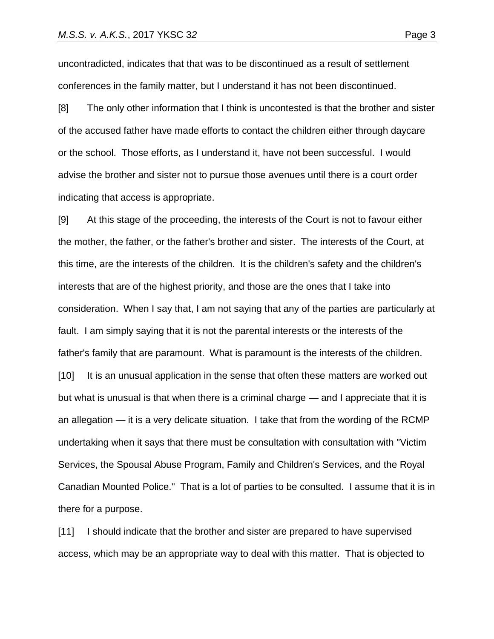uncontradicted, indicates that that was to be discontinued as a result of settlement conferences in the family matter, but I understand it has not been discontinued.

[8] The only other information that I think is uncontested is that the brother and sister of the accused father have made efforts to contact the children either through daycare or the school. Those efforts, as I understand it, have not been successful. I would advise the brother and sister not to pursue those avenues until there is a court order indicating that access is appropriate.

[9] At this stage of the proceeding, the interests of the Court is not to favour either the mother, the father, or the father's brother and sister. The interests of the Court, at this time, are the interests of the children. It is the children's safety and the children's interests that are of the highest priority, and those are the ones that I take into consideration. When I say that, I am not saying that any of the parties are particularly at fault. I am simply saying that it is not the parental interests or the interests of the father's family that are paramount. What is paramount is the interests of the children. [10] It is an unusual application in the sense that often these matters are worked out but what is unusual is that when there is a criminal charge — and I appreciate that it is an allegation — it is a very delicate situation. I take that from the wording of the RCMP undertaking when it says that there must be consultation with consultation with "Victim Services, the Spousal Abuse Program, Family and Children's Services, and the Royal Canadian Mounted Police." That is a lot of parties to be consulted. I assume that it is in there for a purpose.

[11] I should indicate that the brother and sister are prepared to have supervised access, which may be an appropriate way to deal with this matter. That is objected to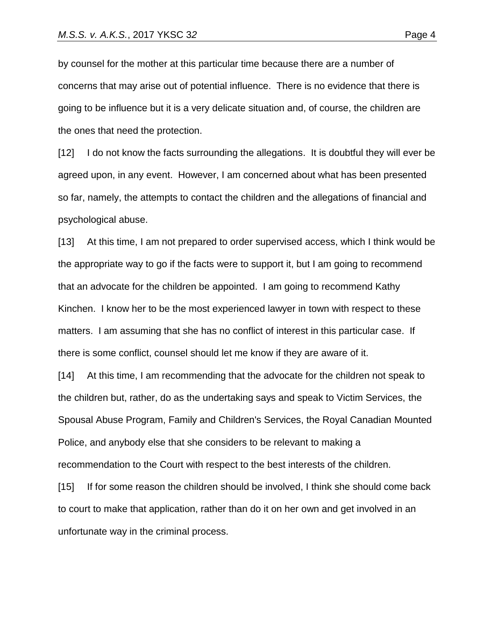by counsel for the mother at this particular time because there are a number of concerns that may arise out of potential influence. There is no evidence that there is going to be influence but it is a very delicate situation and, of course, the children are the ones that need the protection.

[12] I do not know the facts surrounding the allegations. It is doubtful they will ever be agreed upon, in any event. However, I am concerned about what has been presented so far, namely, the attempts to contact the children and the allegations of financial and psychological abuse.

[13] At this time, I am not prepared to order supervised access, which I think would be the appropriate way to go if the facts were to support it, but I am going to recommend that an advocate for the children be appointed. I am going to recommend Kathy Kinchen. I know her to be the most experienced lawyer in town with respect to these matters. I am assuming that she has no conflict of interest in this particular case. If there is some conflict, counsel should let me know if they are aware of it.

[14] At this time, I am recommending that the advocate for the children not speak to the children but, rather, do as the undertaking says and speak to Victim Services, the Spousal Abuse Program, Family and Children's Services, the Royal Canadian Mounted Police, and anybody else that she considers to be relevant to making a recommendation to the Court with respect to the best interests of the children.

[15] If for some reason the children should be involved, I think she should come back to court to make that application, rather than do it on her own and get involved in an unfortunate way in the criminal process.